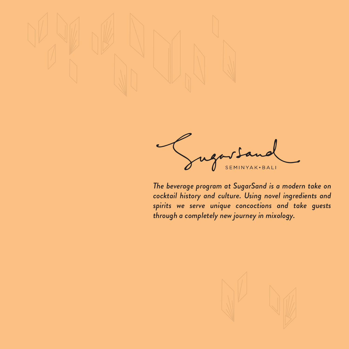

SEMINYAK . BALI

*The beverage program at SugarSand is a modern take on cocktail history and culture. Using novel ingredients and spirits we serve unique concoctions and take guests through a completely new journey in mixology.* 

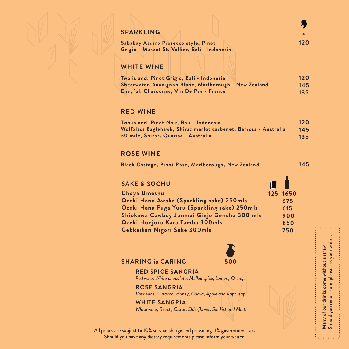| <b>SPARKLING</b>                                                                      |  |
|---------------------------------------------------------------------------------------|--|
| Sababay Ascaro Prosecco style, Pinot<br>Grigio - Muscat St. Vallier, Bali - Indonesia |  |
| <b>WHITE WINE</b>                                                                     |  |

| Two island, Pinot Grigio, Bali - Indonesia             | 120 |
|--------------------------------------------------------|-----|
| Shearwater, Sauvignon Blanc, Marlborough - New Zealand | 145 |
| Envyfol, Chardonay, Vin De Pay - France                | 135 |

### **RED WINE**

| Two island, Pinot Noir, Bali - Indonesia                         | 120 |
|------------------------------------------------------------------|-----|
| Wolfblass Eaglehawk, Shiraz merlot carbenet, Barrosa - Australia | 145 |
| 30 mile, Shiraz, Quarisa - Australia                             | 135 |

#### **ROSE WINE**

**Black Cottage, Pinot Rose, Marlborough, New Zealand 145**

## **SAKE & SOCHU**

| Choya Umeshu                                 | 125 1650 |
|----------------------------------------------|----------|
| Ozeki Hana Awaka (Sparkling sake) 250mls     | 675      |
| Ozeki Hana Fuga Yuzu (Sparkling sake) 250mls | 615      |
| Shiokawa Cowboy Junmai Ginjo Genshu 300 mls  | 900      |
| Ozeki Honjozo Kara Tamba 300mls              | 850      |
| Gekkeikan Nigori Sake 300mls                 | 750      |
|                                              |          |



 $\blacksquare$ 

Many of our drinks come without a straw Should you require one please ask your waiter.

Many of our drinks come without a straw<br>Should you require one please ask your waiter.

#### **SHARING is CARING 500**

#### **RED SPICE SANGRIA**

*Red wine, White chocolate, Mulled spice, Lemon, Orange.*

# **ROSE SANGRIA**

*Rose wine, Curacao, Honey, Guava, Apple and Kafir leaf.*

#### **WHITE SANGRIA**

*White wine, Reach, Citrus, Elderflower, Sunkist and Mint.*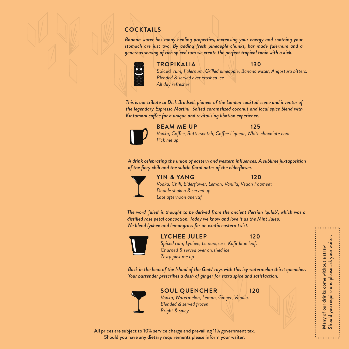# **COCKTAILS**

*Banana water has many healing properties, increasing your energy and soothing your stomach are just two. By adding fresh pineapple chunks, bar made falernum and a generous serving of rich spiced rum we create the perfect tropical tonic with a kick.*





#### **TROPIKALIA 130**

Spiced *rum, Falernum, Grilled pineapple, Banana water, Angostura bitters. Blended & served over crushed ice All day refresher*

*This is our tribute to Dick Bradsell, pioneer of the London cocktail scene and inventor of the legendary Espresso Martini. Salted caramelized coconut and local spice blend with*  Kintamani coffee for a unique and revitalising libation experience.



#### **BEAM ME UP 125**

Vodka, Coffee, Butterscotch, Coffee Liqueur, White chocolate cone. *Pick me up*

*A drink celebrating the union of eastern and western influences. A sublime juxtaposition of the fiery chili and the subtle floral notes of the elderflower.*



#### **YIN & YANG 120**

*Vodka, Chili, Elderflower, Lemon, Vanilla, Vegan Foamee .* R *Double shaken & served up Late afternoon aperitif*

*The word 'julep' is thought to be derived from the ancient Persian 'gulab', which was a distilled rose petal concoction. Today we know and love it as the Mint Julep. We blend lychee and lemongrass for an exotic eastern twist.*



#### **LYCHEE JULEP 120**

*Spiced rum, Lychee, Lemongrass, Kafir lime leaf. Churned & served over crushed ice Zesty pick me up*

*Bask in the heat of the Island of the Gods' rays with this icy watermelon thirst quencher. Your bartender prescribes a dash of ginger for extra spice and satisfaction.*



#### **SOUL QUENCHER 120**

Many of our drinks come without a straw Should you require one please ask your waiter.

Should you require one please ask your waiter. Many of our drinks come without a straw

*Vodka, Watermelon, Lemon, Ginger, Vanilla. Blended & served frozen Bright & spicy*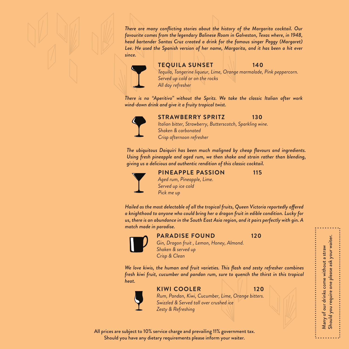*There are many conflicting stories about the history of the Margarita cocktail. Our favourite comes from the legendary Balinese Room in Galveston, Texas where, in 1948, head bartender Santos Cruz created a drink for the famous singer Peggy (Margaret)*  Lee. He used the Spanish version of her name, Margarita, and it has been a hit ever *since.*



#### **TEQUILA SUNSET 140**

*Tequila, Tangerine liqueur, Lime, Orange marmalade, Pink peppercorn. Served up cold or on the rocks All day refresher*

*There is no "Aperitivo" without the Spritz. We take the classic Italian after work wind-down drink and give it a fruity tropical twist.*



#### **STRAWBERRY SPRITZ 130**

*Italian bitter, Strawberry, Butterscotch, Sparkling wine. Shaken & carbonated Crisp afternoon refresher*

*The ubiquitous Daiquiri has been much maligned by cheap flavours and ingredients. Using fresh pineapple and aged rum, we then shake and strain rather than blending, giving us a delicious and authentic rendition of this classic cocktail.*



## **PINEAPPLE PASSION** 115

*Aged rum, Pineapple, Lime. Served up ice cold Pick me up* 

Hailed as the most delectable of all the tropical fruits, Queen Victoria reportedly offered *a knighthood to anyone who could bring her a dragon fruit in edible condition. Lucky for us, there is an abundance in the South East Asia region, and it pairs perfectly with gin. A match made in paradise.*



#### **PARADISE FOUND 120**

*Gin, Dragon fruit , Lemon, Honey, Almond. Shaken & served up Crisp & Clean*

*We love kiwis, the human and fruit varieties. This flash and zesty refresher combines fresh kiwi fruit, cucumber and pandan rum, sure to quench the thirst in this tropical heat.*



#### **KIWI COOLER 120**

Many of our drinks come without a straw Should you require one please ask your waiter.

Should you require one please ask your waiter. Many of our drinks come without a straw

*Rum, Pandan, Kiwi, Cucumber, Lime, Orange bitters. Swizzled & Served tall over crushed ice Zesty & Refreshing*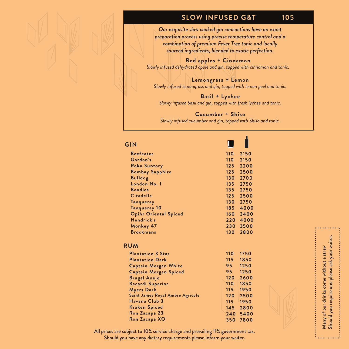# **SLOW INFUSED G&T 105**

*Our exquisite slow cooked gin concoctions have an exact preparation process using precise temperature control and a combination of premium Fever Tree tonic and locally sourced ingredients, blended to exotic perfection.*

**Red apples + Cinnamon** *Slowly infused dehydrated apple and gin, topped with cinnamon and tonic.*

**Lemongrass + Lemon** *Slowly infused lemongrass and gin, topped with lemon peel and tonic.*

**Basil + Lychee** *Slowly infused basil and gin, topped with fresh lychee and tonic.*

**Cucumber + Shiso** *Slowly infused cucumber and gin, topped with Shiso and tonic.*

#### **GIN**

| <b>Beefeater</b>             | 110 | 2150 |
|------------------------------|-----|------|
| Gordon's                     | 110 | 2150 |
| <b>Roku Suntory</b>          | 125 | 2200 |
| <b>Bombay Sapphire</b>       | 125 | 2500 |
| <b>Bulldog</b>               | 130 | 2700 |
| London No. 1                 | 135 | 2750 |
| <b>Boodles</b>               | 135 | 2750 |
| <b>Citadelle</b>             | 125 | 2500 |
| <b>Tangueray</b>             | 130 | 2750 |
| Tanqueray 10                 | 185 | 4000 |
| <b>Opihr Oriental Spiced</b> | 160 | 3400 |
| Hendrick's                   | 220 | 4000 |
| Monkey 47                    | 230 | 3500 |
| <b>Brockmans</b>             | 130 | 2800 |
|                              |     |      |

#### **RUM**

| <b>Plantation 3 Star</b>         | 110 | 1750 |
|----------------------------------|-----|------|
| <b>Plantation Dark</b>           | 115 | 1850 |
| <b>Captain Morgan White</b>      | 95  | 1250 |
| <b>Captain Morgan Spiced</b>     | 95  | 1250 |
| <b>Brugal Anejo</b>              | 120 | 2600 |
| <b>Bacardi Superior</b>          | 110 | 1850 |
| <b>Myers Dark</b>                | 115 | 1950 |
| Saint James Royal Ambre Agricole | 120 | 2500 |
| Havana Club 3                    | 115 | 1950 |
| <b>Kraken Spiced</b>             | 145 | 2800 |
| Ron Zacapa 23                    | 240 | 5400 |
| Ron Zacapa XO                    | 350 | 7800 |
|                                  |     |      |



Many of our drinks come without a straw<br>Should you require one please ask your waiter. Should you require one please ask your waiter. Many of our drinks come without a straw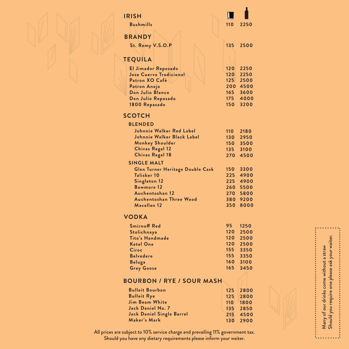| <b>IRISH</b>                                    |                  |              |
|-------------------------------------------------|------------------|--------------|
| <b>Bushmills</b>                                | 110              | 2250         |
| <b>BRANDY</b>                                   |                  |              |
| St. Remy V.S.O.P                                | 135              | 2500         |
|                                                 |                  |              |
| <b>TEQUILA</b>                                  |                  |              |
| El Jimador Reposado                             | 120              | 2250         |
| Jose Cuervo Tradicional                         | 120              | 2250         |
| Patron XO Café                                  | 125<br>200       | 2500<br>4500 |
| Patron Anejo<br>Don Julio Blanco                | 165              | 3600         |
| Don Julio Reposado                              | 175              | 4000         |
| 1800 Repasado                                   | 150              | 3200         |
| <b>SCOTCH</b>                                   |                  |              |
| <b>BLENDED</b>                                  |                  |              |
| <b>Johnnie Walker Red Label</b>                 | $110-1$          | 2180         |
| Johnnie Walker Black Label                      | 130 <sub>1</sub> | 2950         |
| <b>Monkey Shoulder</b>                          | 150              | 3500         |
| <b>Chivas Regal 12</b>                          | 135              | 3100         |
| <b>Chivas Regal 18</b>                          | 270              | 4500         |
| <b>SINGLE MALT</b>                              | 150 <sub>1</sub> | 3300         |
| Glen Turner Heritage Double Cask<br>Talisker 10 | 225              | 4900         |
| Singleton 12                                    | 225              | 4900         |
| <b>Bowmore 12</b>                               | 260              | 5500         |
| Auchentoshan 12                                 | 270              | 5800         |
| <b>Auchentoshan Three Wood</b>                  | 380              | 9200         |
| Macallan 12                                     | 350              | 8000         |
| <b>VODKA</b>                                    |                  |              |
| <b>Smirnoff Red</b>                             | 95               | 1250         |
| Stolichnaya                                     | 120              | 2500         |
| Tito's Handmade                                 | 120              | 2500         |
| <b>Ketel One</b>                                | 120              | 2500         |
| Ciroc                                           | 155              | 3350         |



**3350 155 3100 160 3450 165**

П

Many of our drinks come without a straw Should you require one please ask your waiter.

Many of our drinks come without a straw<br>Should you require one please ask your waiter.

٠.

All prices are subject to 10% service charge and prevailing 11% government tax. Should you have any dietary requirements please inform your waiter.

**BOURBON / RYE / SOUR MASH**

**Belvedere Beluga Grey Goose**

**Bulleit Bourbon Bulleit Rye Jim Beam White Jack Daniel No. 7 Jack Daniel Single Barrel**

**Maker's Mark**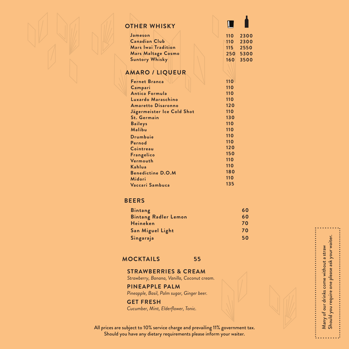|--|--|

#### **OTHER WHISKY**

| Jameson               |  | 110 2300   |
|-----------------------|--|------------|
| <b>Canadian Club</b>  |  | $110$ 2300 |
| Mars Iwai Tradition   |  | 115 2550   |
| Mars Maltage Cosmo    |  | 250 5300   |
| <b>Suntory Whisky</b> |  | 160 3500   |
|                       |  |            |

 $\overline{\mathbf{L}}$ 

## **AMARO / LIQUEUR**

| <b>Fernet Branca</b>       | 110 |
|----------------------------|-----|
| Campari                    | 110 |
| <b>Antica Formula</b>      | 110 |
| Luxardo Maraschino         | 110 |
| <b>Amaretto Disaronno</b>  | 120 |
| Jägermeister Ice Cold Shot | 110 |
| <b>St. Germain</b>         | 130 |
| <b>Baileys</b>             | 110 |
| Malibu                     | 110 |
| Drumbuie                   | 110 |
| Pernod                     | 110 |
| Cointreau                  | 120 |
| Frangelico                 | 150 |
| Vermouth                   | 110 |
| Kahlua                     | 110 |
| <b>Benedictine D.O.M</b>   | 180 |
| Midori                     | 110 |
| Vaccari Sambuca            | 135 |
|                            |     |

#### **BEERS**

| <b>Bintang</b>              | 60 |
|-----------------------------|----|
| <b>Bintang Radler Lemon</b> | 60 |
| <b>Heineken</b>             | 70 |
| San Miguel Light            | 70 |
| Singaraja                   | 50 |

Many of our drinks come without a straw Should you require one please ask your waiter.

Many of our drinks come without a straw<br>Should you require one please ask your waiter.

#### **MOCKTAILS 55**

#### **STRAWBERRIES & CREAM**

*Strawberry, Banana, Vanilla, Coconut cream.*

#### **PINEAPPLE PALM**

*Pineapple, Basil, Palm sugar, Ginger beer.*

#### **GET FRESH**

*Cucumber, Mint, Elderflower, Tonic.*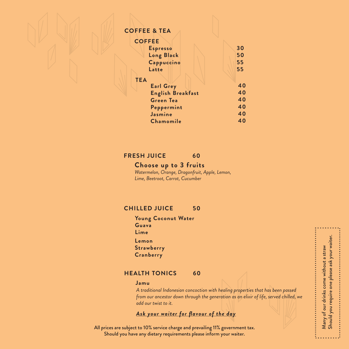#### **COFFEE & TEA**

| <b>COFFEE</b>            |    |
|--------------------------|----|
| <b>Espresso</b>          | 30 |
| Long Black               | 50 |
| Cappuccino               | 55 |
| Latte                    | 55 |
| <b>TEA</b>               |    |
| <b>Earl Grey</b>         | 40 |
| <b>English Breakfast</b> | 40 |
| <b>Green Tea</b>         | 40 |
| Peppermint               | 40 |
| Jasmine                  | 40 |
| Chamomile                | 40 |
|                          |    |

#### **FRESH JUICE 60**

## **Choose up to 3 fruits**

*Watermelon, Orange, Dragonfruit, Apple, Lemon,* **Lime, Beetroot, Carrot, Cucumber** 

## **CHILLED JUICE 50**

**Young Coconut Water Guava Lime Lemon Strawberry Cranberry**

#### **HEALTH TONICS 60**

#### **Jamu**

*A traditional Indonesian concoction with healing properties that has been passed from our ancestor down through the generation as an elixir of life, served chilled, we add our twist to it.*

#### *Ask your waiter for flavour of the day*

All prices are subject to 10% service charge and prevailing 11% government tax. Should you have any dietary requirements please inform your waiter.

Many of our drinks come without a straw<br>Should you require one please ask your waiter. Should you require one please ask your waiter. Many of our drinks come without a straw